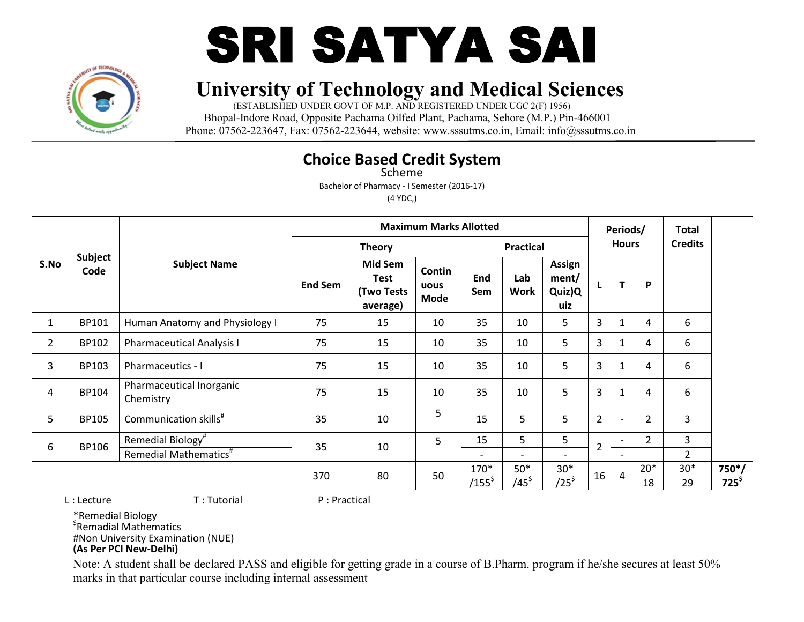



(ESTABLISHED UNDER GOVT OF M.P. AND REGISTERED UNDER UGC 2(F) 1956) Bhopal-Indore Road, Opposite Pachama Oilfed Plant, Pachama, Sehore (M.P.) Pin-466001 Phone: 07562-223647, Fax: 07562-223644, website: www.sssutms.co.in, Email: info@sssutms.co.in

#### **Choice Based Credit System**

Scheme

Bachelor of Pharmacy - I Semester (2016-17)

(4 YDC,)

|                |                 |                                       |                |                                                         | <b>Maximum Marks Allotted</b> |                          |                    |                                  |                | Periods/                 |                | <b>Total</b>     |               |
|----------------|-----------------|---------------------------------------|----------------|---------------------------------------------------------|-------------------------------|--------------------------|--------------------|----------------------------------|----------------|--------------------------|----------------|------------------|---------------|
|                |                 |                                       |                | <b>Theory</b>                                           |                               |                          | <b>Practical</b>   |                                  |                | <b>Hours</b>             |                | <b>Credits</b>   |               |
| S.No           | Subject<br>Code | <b>Subject Name</b>                   | <b>End Sem</b> | <b>Mid Sem</b><br><b>Test</b><br>(Two Tests<br>average) | Contin<br>uous<br><b>Mode</b> | End<br>Sem               | Lab<br><b>Work</b> | Assign<br>ment/<br>Quiz)Q<br>uiz |                | T                        | P              | 6<br>6<br>6<br>6 |               |
| 1              | BP101           | Human Anatomy and Physiology I        | 75             | 15                                                      | 10                            | 35                       | 10                 | 5                                | 3              | $\mathbf{1}$             | 4              |                  |               |
| $\overline{2}$ | BP102           | <b>Pharmaceutical Analysis I</b>      | 75             | 15                                                      | 10                            | 35                       | 10                 | 5                                | 3              | $\mathbf{1}$             | 4              |                  |               |
| 3              | BP103           | Pharmaceutics - I                     | 75             | 15                                                      | 10                            | 35                       | 10                 | 5                                | 3              | $\mathbf{1}$             | 4              |                  |               |
| 4              | BP104           | Pharmaceutical Inorganic<br>Chemistry | 75             | 15                                                      | 10                            | 35                       | 10                 | 5                                | 3              | $\mathbf 1$              | 4              |                  |               |
| 5              | <b>BP105</b>    | Communication skills <sup>#</sup>     | 35             | 10                                                      | 5                             | 15                       | 5                  | 5                                | $\overline{2}$ | $\overline{\phantom{0}}$ | $\overline{2}$ | 3                |               |
| 6              | BP106           | Remedial Biology <sup>#</sup>         | 35             | 10                                                      | 5                             | 15                       | 5                  | 5                                | $\overline{2}$ | $\overline{\phantom{a}}$ | $\overline{2}$ | 3                |               |
|                |                 | Remedial Mathematics <sup>#</sup>     |                |                                                         |                               | $\overline{\phantom{a}}$ |                    | $\overline{\phantom{a}}$         |                | $\overline{\phantom{a}}$ |                | $\overline{2}$   |               |
|                |                 | 370                                   | 80             |                                                         | 50                            | 170*                     | $50*$              | $30*$                            | 16             | $\overline{4}$           | $20*$          | $30*$            | $750*/$       |
|                |                 |                                       |                |                                                         |                               | $/155^{\text{S}}$        | $/45^{\circ}$      | /25 $^\mathsf{\$}$               |                |                          | 18             | 29               | $725^{\circ}$ |

L : Lecture T : Tutorial P : Practical

\*Remedial Biology

\$ Remadial Mathematics

#Non University Examination (NUE)

#### **(As Per PCI New-Delhi)**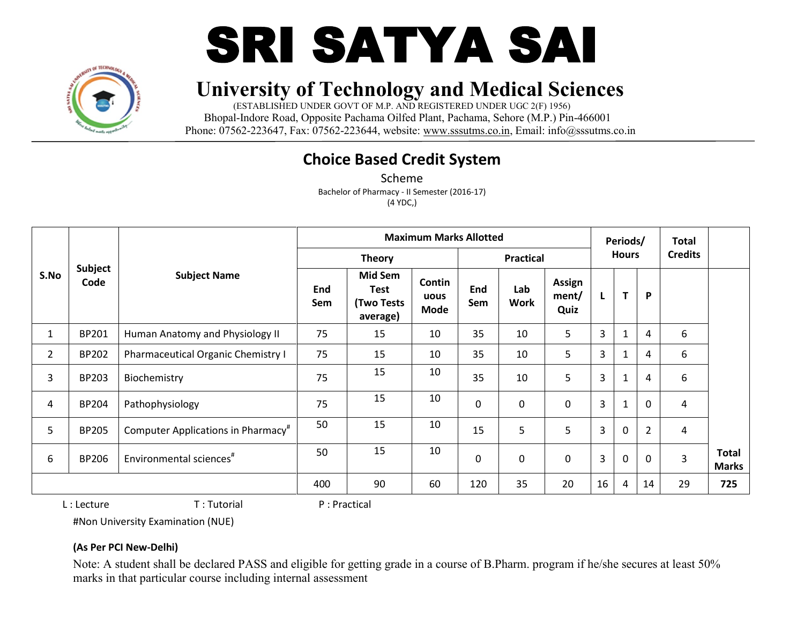



(ESTABLISHED UNDER GOVT OF M.P. AND REGISTERED UNDER UGC 2(F) 1956) Bhopal-Indore Road, Opposite Pachama Oilfed Plant, Pachama, Sehore (M.P.) Pin-466001 Phone: 07562-223647, Fax: 07562-223644, website: www.sssutms.co.in, Email: info@sssutms.co.in

## **Choice Based Credit System**

Scheme Bachelor of Pharmacy - II Semester (2016-17) (4 YDC,)

|                |                        |                                                |            |                                                  | <b>Maximum Marks Allotted</b> |             |                    |                         |                | Periods/     |                | <b>Total</b>   |                              |
|----------------|------------------------|------------------------------------------------|------------|--------------------------------------------------|-------------------------------|-------------|--------------------|-------------------------|----------------|--------------|----------------|----------------|------------------------------|
|                |                        |                                                |            | <b>Theory</b>                                    |                               |             | <b>Practical</b>   |                         |                | <b>Hours</b> |                | <b>Credits</b> |                              |
| S.No           | <b>Subject</b><br>Code | <b>Subject Name</b>                            | End<br>Sem | <b>Mid Sem</b><br>Test<br>(Two Tests<br>average) | Contin<br>uous<br>Mode        | End<br>Sem  | Lab<br><b>Work</b> | Assign<br>ment/<br>Quiz | L              | T            | P              |                |                              |
| $\mathbf{1}$   | <b>BP201</b>           | Human Anatomy and Physiology II                | 75         | 15                                               | 10                            | 35          | 10                 | 5                       | 3              |              | 4              | 6              |                              |
| $\overline{2}$ | <b>BP202</b>           | Pharmaceutical Organic Chemistry I             | 75         | 15                                               | 10                            | 35          | 10                 | 5                       | $\overline{3}$ |              | 4              | 6              |                              |
| 3              | BP203                  | Biochemistry                                   | 75         | 15                                               | 10                            | 35          | 10                 | 5                       | 3              |              | 4              | 6              |                              |
| 4              | <b>BP204</b>           | Pathophysiology                                | 75         | 15                                               | 10                            | $\mathbf 0$ | $\Omega$           | $\mathbf 0$             | 3              |              | $\mathbf 0$    | 4              |                              |
| 5              | <b>BP205</b>           | Computer Applications in Pharmacy <sup>#</sup> | 50         | 15                                               | 10                            | 15          | 5                  | 5                       | 3              | $\Omega$     | $\overline{2}$ | $\overline{4}$ |                              |
| 6              | <b>BP206</b>           | Environmental sciences <sup>#</sup>            | 50         | 15                                               | 10                            | 0           | $\Omega$           | $\mathbf 0$             | $\overline{3}$ | $\Omega$     | $\mathbf{0}$   | $\overline{3}$ | <b>Total</b><br><b>Marks</b> |
|                |                        |                                                | 400        | 90                                               | 60                            | 120         | 35                 | 20                      | 16             | 4            | 14             | 29             | 725                          |

L : Lecture T : Tutorial P : Practical

#Non University Examination (NUE)

#### **(As Per PCI New-Delhi)**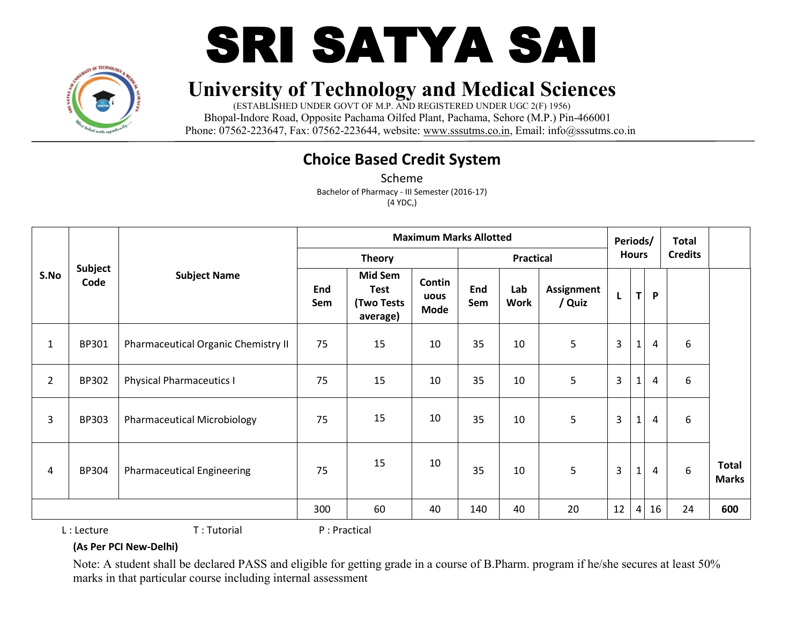



(ESTABLISHED UNDER GOVT OF M.P. AND REGISTERED UNDER UGC 2(F) 1956) Bhopal-Indore Road, Opposite Pachama Oilfed Plant, Pachama, Sehore (M.P.) Pin-466001 Phone: 07562-223647, Fax: 07562-223644, website: www.sssutms.co.in, Email: info@sssutms.co.in

## **Choice Based Credit System**

Scheme Bachelor of Pharmacy - III Semester (2016-17) (4 YDC,)

|                |                 |                                     |            |                                                         | <b>Maximum Marks Allotted</b> |            |                    |                      | Periods/       |              |                | <b>Total</b>   |                              |
|----------------|-----------------|-------------------------------------|------------|---------------------------------------------------------|-------------------------------|------------|--------------------|----------------------|----------------|--------------|----------------|----------------|------------------------------|
|                |                 |                                     |            | <b>Theory</b>                                           |                               |            | <b>Practical</b>   |                      |                | <b>Hours</b> |                | <b>Credits</b> |                              |
| S.No           | Subject<br>Code | <b>Subject Name</b>                 | End<br>Sem | <b>Mid Sem</b><br><b>Test</b><br>(Two Tests<br>average) | Contin<br>uous<br>Mode        | End<br>Sem | Lab<br><b>Work</b> | Assignment<br>/ Quiz | L              | $\mathsf{T}$ | P              |                |                              |
| $\mathbf{1}$   | BP301           | Pharmaceutical Organic Chemistry II | 75         | 15                                                      | 10                            | 35         | 10                 | 5                    | $\overline{3}$ | $\mathbf{1}$ | 4              | 6              |                              |
| $\overline{2}$ | BP302           | <b>Physical Pharmaceutics I</b>     | 75         | 15                                                      | 10                            | 35         | 10                 | 5                    | $\overline{3}$ | $\mathbf{1}$ | 4              | 6              |                              |
| 3              | <b>BP303</b>    | <b>Pharmaceutical Microbiology</b>  | 75         | 15                                                      | 10                            | 35         | 10                 | 5                    | $\overline{3}$ | $\mathbf{1}$ | $\overline{4}$ | 6              |                              |
| 4              | <b>BP304</b>    | <b>Pharmaceutical Engineering</b>   | 75         | 15                                                      | 10                            | 35         | 10                 | 5                    | $\mathbf{3}$   | $\mathbf{1}$ | $\overline{4}$ | 6              | <b>Total</b><br><b>Marks</b> |
|                |                 |                                     | 300        | 60                                                      | 40                            | 140        | 40                 | 20                   | 12             | 4            | 16             | 24             | 600                          |
|                | .               | — —                                 |            | .                                                       |                               |            |                    |                      |                |              |                |                |                              |

L : Lecture T : Tutorial P : Practical

#### **(As Per PCI New-Delhi)**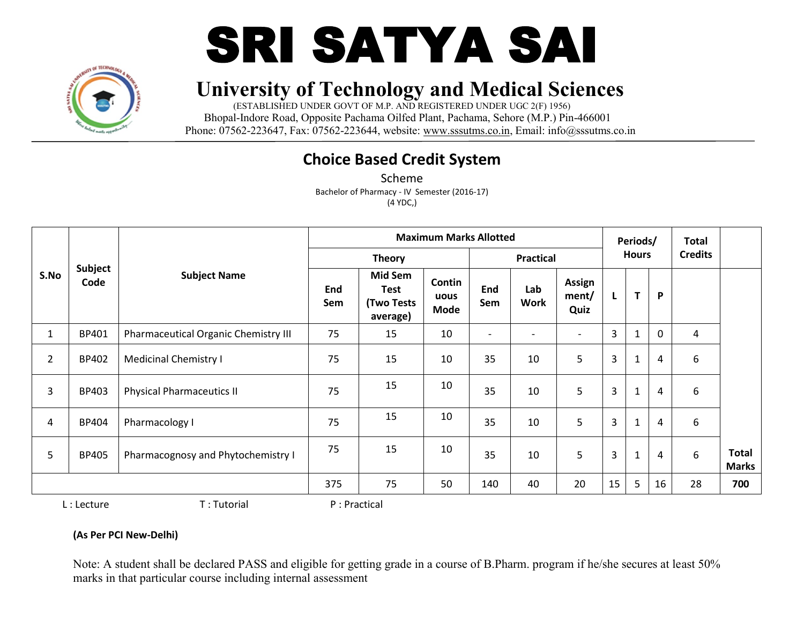



(ESTABLISHED UNDER GOVT OF M.P. AND REGISTERED UNDER UGC 2(F) 1956) Bhopal-Indore Road, Opposite Pachama Oilfed Plant, Pachama, Sehore (M.P.) Pin-466001 Phone: 07562-223647, Fax: 07562-223644, website: www.sssutms.co.in, Email: info@sssutms.co.in

## **Choice Based Credit System**

Scheme Bachelor of Pharmacy - IV Semester (2016-17) (4 YDC,)

|              |                                      |            |                                                         | <b>Maximum Marks Allotted</b> |                          |                    |                          |                  | Periods/     |                | <b>Total</b>   |                              |
|--------------|--------------------------------------|------------|---------------------------------------------------------|-------------------------------|--------------------------|--------------------|--------------------------|------------------|--------------|----------------|----------------|------------------------------|
|              |                                      |            | <b>Theory</b>                                           |                               |                          |                    |                          |                  |              |                | <b>Credits</b> |                              |
| Code         | <b>Subject Name</b>                  | End<br>Sem | <b>Mid Sem</b><br>Test<br><b>(Two Tests</b><br>average) | Contin<br>uous<br>Mode        | End<br>Sem               | Lab<br><b>Work</b> | Assign<br>ment/<br>Quiz  | L                | T            | P              |                |                              |
| BP401        | Pharmaceutical Organic Chemistry III | 75         | 15                                                      | 10                            | $\overline{\phantom{0}}$ |                    | $\overline{\phantom{a}}$ | 3                |              | $\mathbf 0$    | 4              |                              |
| BP402        | <b>Medicinal Chemistry I</b>         | 75         | 15                                                      | 10                            | 35                       | 10                 | 5                        | 3                | $\mathbf{1}$ | $\overline{4}$ | 6              |                              |
| BP403        | <b>Physical Pharmaceutics II</b>     | 75         | 15                                                      | 10                            | 35                       | 10                 | 5                        | 3                |              | $\overline{4}$ | 6              |                              |
| BP404        | Pharmacology I                       | 75         | 15                                                      | 10                            | 35                       | 10                 | 5                        | 3                | 1            | $\overline{4}$ | 6              |                              |
| <b>BP405</b> | Pharmacognosy and Phytochemistry I   | 75         | 15                                                      | 10                            | 35                       | 10                 | 5                        | 3                | $\mathbf{1}$ | $\overline{4}$ | 6              | <b>Total</b><br><b>Marks</b> |
|              |                                      | 375        | 75                                                      | 50                            | 140                      | 40                 | 20                       | 15               | 5            | 16             | 28             | 700                          |
|              | Subject                              |            |                                                         |                               |                          |                    |                          | <b>Practical</b> |              |                | <b>Hours</b>   |                              |

L : Lecture T : Tutorial P : Practical

#### **(As Per PCI New-Delhi)**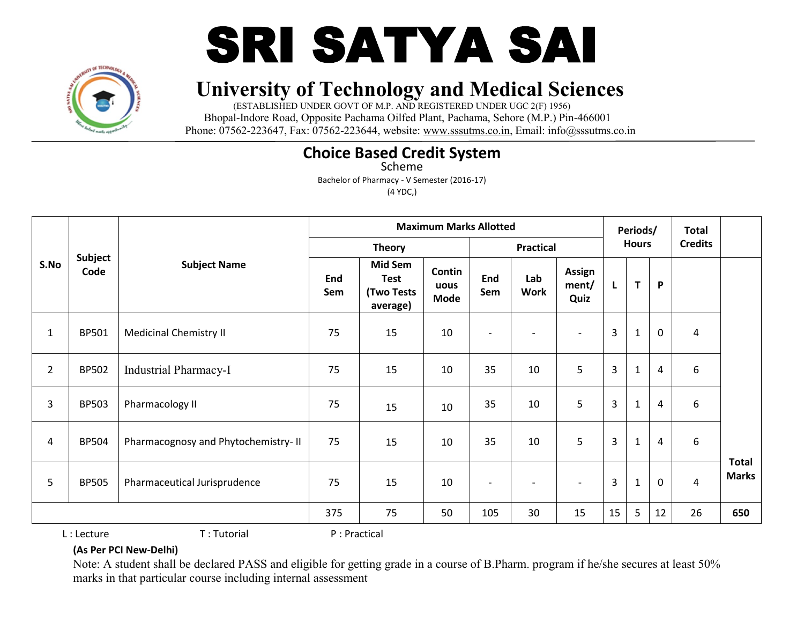

# SRI SATYA SAI

# **University of Technology and Medical Sciences**

(ESTABLISHED UNDER GOVT OF M.P. AND REGISTERED UNDER UGC 2(F) 1956) Bhopal-Indore Road, Opposite Pachama Oilfed Plant, Pachama, Sehore (M.P.) Pin-466001 Phone: 07562-223647, Fax: 07562-223644, website: www.sssutms.co.in, Email: info@sssutms.co.in

## **Choice Based Credit System**

Scheme

Bachelor of Pharmacy - V Semester (2016-17)

(4 YDC,)

|                |                        |                                     |            |                                                                | <b>Maximum Marks Allotted</b> |                          |                          |                                |                | Periods/     |                | <b>Total</b>   |                              |
|----------------|------------------------|-------------------------------------|------------|----------------------------------------------------------------|-------------------------------|--------------------------|--------------------------|--------------------------------|----------------|--------------|----------------|----------------|------------------------------|
|                |                        |                                     |            | <b>Theory</b>                                                  |                               |                          | <b>Practical</b>         |                                |                | <b>Hours</b> |                | <b>Credits</b> |                              |
| S.No           | <b>Subject</b><br>Code | <b>Subject Name</b>                 | End<br>Sem | <b>Mid Sem</b><br><b>Test</b><br><b>(Two Tests</b><br>average) | Contin<br>uous<br>Mode        | End<br>Sem               | Lab<br>Work              | <b>Assign</b><br>ment/<br>Quiz | L              | $\mathbf{T}$ | P              |                |                              |
| $\mathbf{1}$   | <b>BP501</b>           | <b>Medicinal Chemistry II</b>       | 75         | 15                                                             | 10                            | $\blacksquare$           | $\overline{\phantom{a}}$ | $\overline{\phantom{a}}$       | $\overline{3}$ | $\mathbf{1}$ | $\mathbf 0$    | 4              |                              |
| $\overline{2}$ | <b>BP502</b>           | <b>Industrial Pharmacy-I</b>        | 75         | 15                                                             | 10                            | 35                       | 10                       | 5                              | 3              | $\mathbf{1}$ | $\overline{4}$ | 6              |                              |
| 3              | <b>BP503</b>           | Pharmacology II                     | 75         | 15                                                             | 10                            | 35                       | 10                       | 5                              | 3              | $\mathbf{1}$ | $\overline{4}$ | 6              |                              |
| 4              | <b>BP504</b>           | Pharmacognosy and Phytochemistry-II | 75         | 15                                                             | 10                            | 35                       | 10                       | 5                              | $\overline{3}$ | $\mathbf{1}$ | $\overline{4}$ | 6              |                              |
| 5              | <b>BP505</b>           | Pharmaceutical Jurisprudence        | 75         | 15                                                             | 10                            | $\overline{\phantom{0}}$ | $\overline{\phantom{a}}$ | $\overline{\phantom{a}}$       | $\overline{3}$ | $\mathbf{1}$ | $\mathbf 0$    | $\overline{4}$ | <b>Total</b><br><b>Marks</b> |
|                |                        |                                     | 375        | 75                                                             | 50                            | 105                      | 30                       | 15                             | 15             | 5            | 12             | 26             | 650                          |

L : Lecture T : Tutorial P : Practical

#### **(As Per PCI New-Delhi)**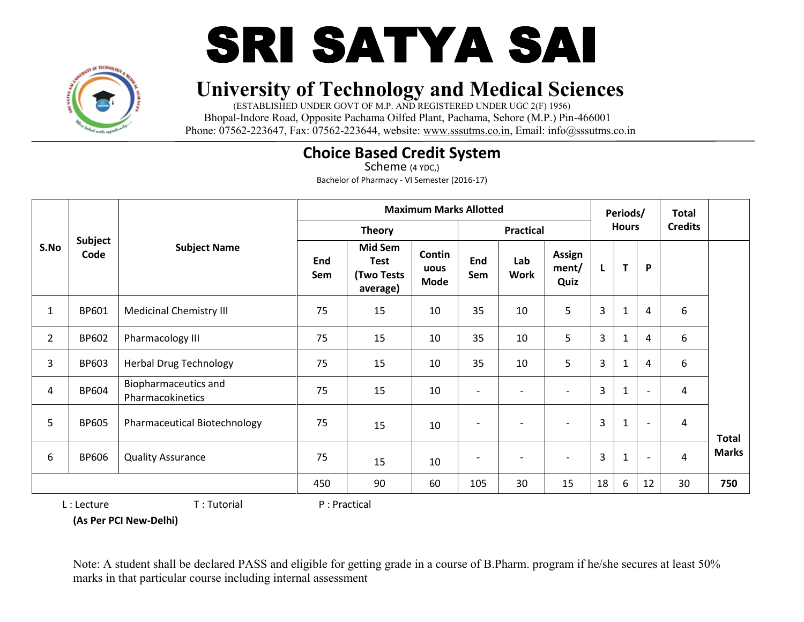

# SRI SATYA SAI

# **University of Technology and Medical Sciences**

(ESTABLISHED UNDER GOVT OF M.P. AND REGISTERED UNDER UGC 2(F) 1956) Bhopal-Indore Road, Opposite Pachama Oilfed Plant, Pachama, Sehore (M.P.) Pin-466001 Phone: 07562-223647, Fax: 07562-223644, website: www.sssutms.co.in, Email: info@sssutms.co.in

## **Choice Based Credit System**

Scheme (4 YDC,) Bachelor of Pharmacy - VI Semester (2016-17)

|                |                        |                                          |            |                                                         | <b>Maximum Marks Allotted</b> |                   |                              |                         |    | Periods/     |                          | Total          |              |
|----------------|------------------------|------------------------------------------|------------|---------------------------------------------------------|-------------------------------|-------------------|------------------------------|-------------------------|----|--------------|--------------------------|----------------|--------------|
|                |                        |                                          |            | <b>Theory</b>                                           |                               |                   | <b>Practical</b>             |                         |    | <b>Hours</b> |                          | <b>Credits</b> |              |
| S.No           | <b>Subject</b><br>Code | <b>Subject Name</b>                      | End<br>Sem | Mid Sem<br><b>Test</b><br><b>(Two Tests</b><br>average) | Contin<br>uous<br><b>Mode</b> | End<br>Sem        | Lab<br><b>Work</b>           | Assign<br>ment/<br>Quiz | L  | T            | P                        |                |              |
| 1              | BP601                  | <b>Medicinal Chemistry III</b>           | 75         | 15                                                      | 10                            | 35                | 10                           | 5                       | 3  | 1            | $\overline{4}$           | 6              |              |
| $\overline{2}$ | BP602                  | Pharmacology III                         | 75         | 15                                                      | 10                            | 35                | 10                           | 5                       | 3  |              | 4                        | 6              |              |
| 3              | BP603                  | <b>Herbal Drug Technology</b>            | 75         | 15                                                      | 10                            | 35                | 10                           | 5                       | 3  |              | 4                        | 6              |              |
| 4              | <b>BP604</b>           | Biopharmaceutics and<br>Pharmacokinetics | 75         | 15                                                      | 10                            | $\blacksquare$    |                              |                         | 3  |              | $\overline{\phantom{a}}$ | $\overline{4}$ |              |
| 5              | <b>BP605</b>           | Pharmaceutical Biotechnology             | 75         | 15                                                      | 10                            | $\qquad \qquad -$ |                              |                         | 3  | 1            | $\overline{\phantom{a}}$ | 4              | Total        |
| 6              | <b>BP606</b>           | <b>Quality Assurance</b>                 | 75         | 15                                                      | 10                            | $\qquad \qquad$   | $\qquad \qquad \blacksquare$ |                         | 3  | 1            | $\blacksquare$           | 4              | <b>Marks</b> |
|                |                        |                                          | 450        | 90                                                      | 60                            | 105               | 30                           | 15                      | 18 | 6            | 12                       | 30             | 750          |

L : Lecture T : Tutorial P : Practical

**(As Per PCI New-Delhi)**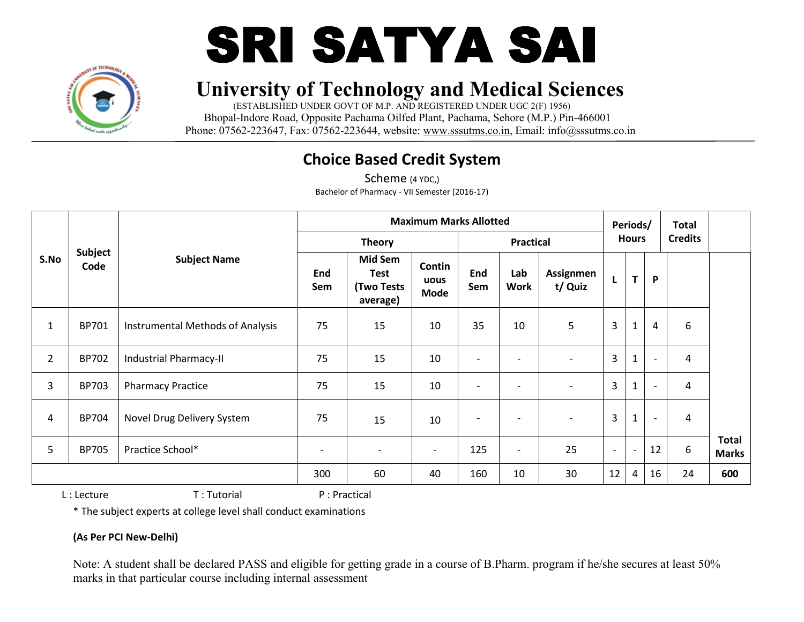



(ESTABLISHED UNDER GOVT OF M.P. AND REGISTERED UNDER UGC 2(F) 1956) Bhopal-Indore Road, Opposite Pachama Oilfed Plant, Pachama, Sehore (M.P.) Pin-466001 Phone: 07562-223647, Fax: 07562-223644, website: www.sssutms.co.in, Email: info@sssutms.co.in

## **Choice Based Credit System**

Scheme (4 YDC,) Bachelor of Pharmacy - VII Semester (2016-17)

|                |                        |                                  |                          |                                                  | <b>Maximum Marks Allotted</b> |                          |                          |                          |                          | Periods/                 |                          | <b>Total</b>     |                              |
|----------------|------------------------|----------------------------------|--------------------------|--------------------------------------------------|-------------------------------|--------------------------|--------------------------|--------------------------|--------------------------|--------------------------|--------------------------|------------------|------------------------------|
|                |                        |                                  |                          | <b>Theory</b>                                    |                               |                          | <b>Practical</b>         |                          |                          | <b>Hours</b>             |                          | <b>Credits</b>   |                              |
| S.No           | <b>Subject</b><br>Code | <b>Subject Name</b>              | End<br>Sem               | Mid Sem<br><b>Test</b><br>(Two Tests<br>average) | Contin<br>uous<br><b>Mode</b> | End<br>Sem               | Lab<br><b>Work</b>       | Assignmen<br>t/ Quiz     | L                        | T                        | P                        |                  |                              |
| T.             | <b>BP701</b>           | Instrumental Methods of Analysis | 75                       | 15                                               | 10                            | 35                       | 10                       | 5                        | 3                        | $\mathbf{1}$             | 4                        | $\boldsymbol{6}$ |                              |
| $\overline{2}$ | BP702                  | Industrial Pharmacy-II           | 75                       | 15                                               | 10                            | $\overline{\phantom{a}}$ | $\overline{\phantom{a}}$ |                          | $\overline{3}$           | $\mathbf{1}$             |                          | 4                |                              |
| 3              | <b>BP703</b>           | <b>Pharmacy Practice</b>         | 75                       | 15                                               | 10                            | $\overline{\phantom{a}}$ | $\overline{\phantom{a}}$ | $\overline{\phantom{a}}$ | $\overline{3}$           | $\mathbf{1}$             | $\overline{\phantom{a}}$ | 4                |                              |
| 4              | BP704                  | Novel Drug Delivery System       | 75                       | 15                                               | 10                            | $\overline{\phantom{0}}$ | $\overline{\phantom{a}}$ |                          | $\overline{3}$           | $\mathbf 1$              | $\overline{\phantom{a}}$ | 4                |                              |
| 5              | <b>BP705</b>           | Practice School*                 | $\overline{\phantom{a}}$ | $\overline{\phantom{0}}$                         | $\overline{\phantom{0}}$      | 125                      | $\overline{\phantom{a}}$ | 25                       | $\overline{\phantom{a}}$ | $\overline{\phantom{a}}$ | 12                       | $6\,$            | <b>Total</b><br><b>Marks</b> |
|                |                        |                                  | 300                      | 60                                               | 40                            | 160                      | 10                       | 30                       | 12                       | 4                        | 16                       | 24               | 600                          |

L : Lecture T : Tutorial P : Practical

\* The subject experts at college level shall conduct examinations

#### **(As Per PCI New-Delhi)**